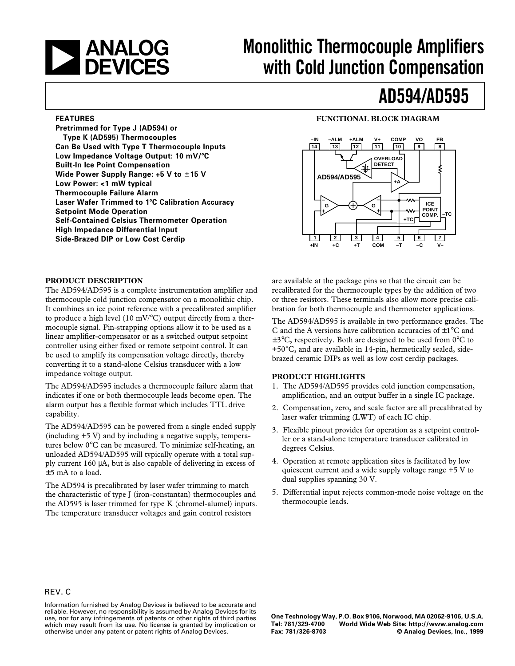

# **ANALOG** Monolithic Thermocouple Amplifiers<br> **DEVICES** with Cold Junction Compensation **with Cold Junction Compensation**

# **AD594/AD595**

#### **FEATURES**

**Pretrimmed for Type J (AD594) or Type K (AD595) Thermocouples Can Be Used with Type T Thermocouple Inputs** Low Impedance Voltage Output: 10 mV/°C **Built-In Ice Point Compensation Wide Power Supply Range: +5 V to**  $\pm$ **15 V Low Power: <1 mW typical Thermocouple Failure Alarm Laser Wafer Trimmed to 1**8**C Calibration Accuracy Setpoint Mode Operation Self-Contained Celsius Thermometer Operation High Impedance Differential Input Side-Brazed DIP or Low Cost Cerdip**

# **FUNCTIONAL BLOCK DIAGRAM**



#### **PRODUCT DESCRIPTION**

The AD594/AD595 is a complete instrumentation amplifier and thermocouple cold junction compensator on a monolithic chip. It combines an ice point reference with a precalibrated amplifier to produce a high level (10 mV/ $^{\circ}$ C) output directly from a thermocouple signal. Pin-strapping options allow it to be used as a linear amplifier-compensator or as a switched output setpoint controller using either fixed or remote setpoint control. It can be used to amplify its compensation voltage directly, thereby converting it to a stand-alone Celsius transducer with a low impedance voltage output.

The AD594/AD595 includes a thermocouple failure alarm that indicates if one or both thermocouple leads become open. The alarm output has a flexible format which includes TTL drive capability.

The AD594/AD595 can be powered from a single ended supply (including +5 V) and by including a negative supply, temperatures below 0°C can be measured. To minimize self-heating, an unloaded AD594/AD595 will typically operate with a total supply current 160 µA, but is also capable of delivering in excess of ±5 mA to a load.

The AD594 is precalibrated by laser wafer trimming to match the characteristic of type J (iron-constantan) thermocouples and the AD595 is laser trimmed for type K (chromel-alumel) inputs. The temperature transducer voltages and gain control resistors

are available at the package pins so that the circuit can be recalibrated for the thermocouple types by the addition of two or three resistors. These terminals also allow more precise calibration for both thermocouple and thermometer applications.

The AD594/AD595 is available in two performance grades. The C and the A versions have calibration accuracies of  $\pm 1^{\circ}$ C and  $\pm$ 3°C, respectively. Both are designed to be used from 0°C to +50°C, and are available in 14-pin, hermetically sealed, sidebrazed ceramic DIPs as well as low cost cerdip packages.

# **PRODUCT HIGHLIGHTS**

- 1. The AD594/AD595 provides cold junction compensation, amplification, and an output buffer in a single IC package.
- 2. Compensation, zero, and scale factor are all precalibrated by laser wafer trimming (LWT) of each IC chip.
- 3. Flexible pinout provides for operation as a setpoint controller or a stand-alone temperature transducer calibrated in degrees Celsius.
- 4. Operation at remote application sites is facilitated by low quiescent current and a wide supply voltage range +5 V to dual supplies spanning 30 V.
- 5. Differential input rejects common-mode noise voltage on the thermocouple leads.

# REV. C

Information furnished by Analog Devices is believed to be accurate and reliable. However, no responsibility is assumed by Analog Devices for its use, nor for any infringements of patents or other rights of third parties which may result from its use. No license is granted by implication or otherwise under any patent or patent rights of Analog Devices.

**One Technology Way, P.O. Box 9106, Norwood, MA 02062-9106, U.S.A. Tel: 781/329-4700 World Wide Web Site: http://www.analog.com**  $©$  Analog Devices, Inc., 1999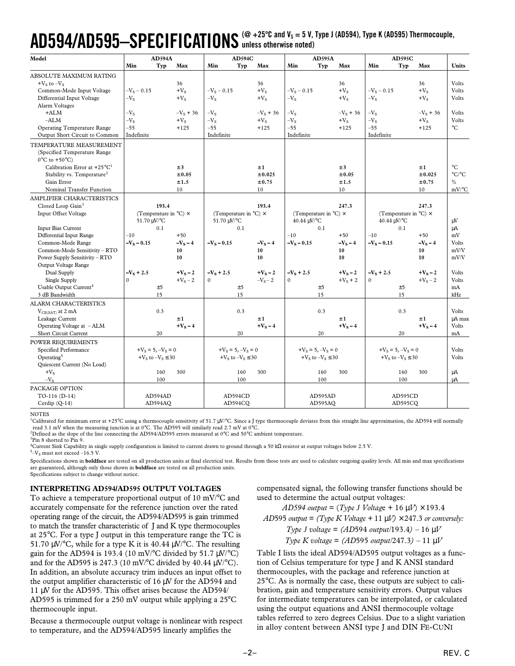# AD594/AD595—SPECIFICATIONS (@ +25°C and V<sub>s</sub> = 5 V, Type J (AD594), Type K (AD595) Thermocouple, **unless otherwise noted)**

| Model                                              |                           | <b>AD594A</b><br><b>AD594C</b><br><b>AD595A</b> |               |                                        | <b>AD595C</b> |               |                                        |             |               |                                        |             |                       |
|----------------------------------------------------|---------------------------|-------------------------------------------------|---------------|----------------------------------------|---------------|---------------|----------------------------------------|-------------|---------------|----------------------------------------|-------------|-----------------------|
|                                                    | Min                       | Typ<br>Max                                      | Min           | Typ                                    | Max           | Min           | Typ                                    | Max         | Min           | Typ                                    | Max         | <b>Units</b>          |
| ABSOLUTE MAXIMUM RATING                            |                           |                                                 |               |                                        |               |               |                                        |             |               |                                        |             |                       |
| $+V_s$ to $-V_s$                                   |                           | 36                                              |               |                                        | 36            |               |                                        | 36          |               |                                        | 36          | Volts                 |
| Common-Mode Input Voltage                          | $-V_s - 0.15$             | $+V_s$                                          | $-V_s - 0.15$ |                                        | $+V_s$        | $-V_s - 0.15$ |                                        | $+V_s$      | $-V_s - 0.15$ |                                        | $+V_s$      | Volts                 |
| Differential Input Voltage                         | $-V_{S}$                  | $+V_s$                                          | $-VS$         |                                        | $+V_s$        | $-Vs$         |                                        | $+V_s$      | $-V_{S}$      |                                        | $+V_S$      | Volts                 |
| Alarm Voltages                                     |                           |                                                 |               |                                        |               |               |                                        |             |               |                                        |             |                       |
| $+ALM$                                             | $-Vs$                     | $-V_s + 36$                                     | $-Vs$         |                                        | $-V_s + 36$   | $-VS$         |                                        | $-V_s + 36$ | $-VS$         |                                        | $-V_s + 36$ | Volts                 |
| $-ALM$                                             | $-V_{S}$                  | $+V_S$                                          | $-VS$         |                                        | $+V_S$        | $-VS$         |                                        | $+V_S$      | $-VS$         |                                        | $+V_S$      | Volts                 |
| <b>Operating Temperature Range</b>                 | $-55$                     | $+125$                                          | $-55$         |                                        | $+125$        | $-55$         |                                        | $+125$      | $-55$         |                                        | $+125$      | $^{\circ}C$           |
| Output Short Circuit to Common                     | Indefinite                |                                                 | Indefinite    |                                        |               | Indefinite    |                                        |             | Indefinite    |                                        |             |                       |
| TEMPERATURE MEASUREMENT                            |                           |                                                 |               |                                        |               |               |                                        |             |               |                                        |             |                       |
| (Specified Temperature Range                       |                           |                                                 |               |                                        |               |               |                                        |             |               |                                        |             |                       |
| $0^{\circ}$ C to +50 $^{\circ}$ C)                 |                           |                                                 |               |                                        |               |               |                                        |             |               |                                        |             |                       |
| Calibration Error at +25 $^{\circ}$ C <sup>1</sup> |                           | ±3                                              |               |                                        | ±1            |               |                                        | ±3          |               |                                        | ±1          | $^{\circ}C$           |
| Stability vs. Temperature <sup>2</sup>             |                           | $\pm 0.05$                                      |               |                                        | ±0.025        |               |                                        | ±0.05       |               |                                        | ±0.025      | $^{\circ}C/^{\circ}C$ |
| Gain Error                                         |                           | ±1.5                                            |               |                                        | $\pm 0.75$    |               |                                        | ±1.5        |               |                                        | $\pm 0.75$  | $\frac{0}{0}$         |
| Nominal Transfer Function                          |                           | 10                                              |               |                                        | 10            |               |                                        | 10          |               |                                        | 10          | $mV$ <sup>o</sup> C   |
| AMPLIFIER CHARACTERISTICS                          |                           |                                                 |               |                                        |               |               |                                        |             |               |                                        |             |                       |
| Closed Loop Gain <sup>3</sup>                      |                           | 193.4                                           |               |                                        | 193.4         |               |                                        | 247.3       |               |                                        | 247.3       |                       |
| Input Offset Voltage                               |                           | (Temperature in $^{\circ}$ C) $\times$          |               | (Temperature in $^{\circ}$ C) $\times$ |               |               | (Temperature in $^{\circ}$ C) $\times$ |             |               | (Temperature in $^{\circ}$ C) $\times$ |             |                       |
|                                                    | 51.70 uV/°C               |                                                 | 51.70 µV/°C   |                                        |               | 40.44 μV/°C   |                                        |             |               | 40.44 μV/°C                            |             | μV                    |
| Input Bias Current                                 | 0.1                       |                                                 |               | 0.1                                    |               |               | 0.1                                    |             |               | 0.1                                    |             | μA                    |
| <b>Differential Input Range</b>                    | $-10$                     | $+50$                                           |               |                                        |               | $-10$         |                                        | $+50$       | $-10$         |                                        | $+50$       | mV                    |
| Common-Mode Range                                  | $-V_S - 0.15$             | $-V_s - 4$                                      | $-V_s - 0.15$ |                                        | $-VS - 4$     | $-V_s - 0.15$ |                                        | $-VS - 4$   | $-V_s - 0.15$ |                                        | $-VS - 4$   | Volts                 |
| Common-Mode Sensitivity - RTO                      |                           | 10                                              |               |                                        | 10            |               |                                        | 10          |               |                                        | 10          | mV/V                  |
| Power Supply Sensitivity - RTO                     |                           | 10                                              |               |                                        | 10            |               |                                        | 10          |               |                                        | 10          | mV/V                  |
| Output Voltage Range                               |                           |                                                 |               |                                        |               |               |                                        |             |               |                                        |             |                       |
| Dual Supply                                        | $-V_s + 2.5$              | $+V_s - 2$                                      | $-V_s + 2.5$  |                                        | $+V_s - 2$    | $-V_s + 2.5$  |                                        | $+V_s - 2$  | $-V_s + 2.5$  |                                        | $+V_s - 2$  | Volts                 |
| Single Supply                                      | $\Omega$                  | $+V_s - 2$                                      | $\Omega$      |                                        | $-VS-2$       | $\theta$      |                                        | $+V_s + 2$  | $\mathbf{0}$  |                                        | $+V_S - 2$  | Volts                 |
| Usable Output Current <sup>4</sup>                 | ±5                        |                                                 |               | ±5                                     |               |               | ±5                                     |             |               | ±5                                     |             | mA                    |
| 3 dB Bandwidth                                     | 15                        |                                                 |               | 15                                     |               |               | 15                                     |             |               | 15                                     |             | kHz                   |
| <b>ALARM CHARACTERISTICS</b>                       |                           |                                                 |               |                                        |               |               |                                        |             |               |                                        |             |                       |
| V <sub>CE(SAT)</sub> at 2 mA                       | 0.3                       |                                                 |               | 0.3                                    |               |               | 0.3                                    |             |               | 0.3                                    |             | Volts                 |
| Leakage Current                                    |                           | ±1                                              |               |                                        | ±1            |               |                                        | ±1          |               |                                        | ±1          | µA max                |
| Operating Voltage at - ALM                         |                           | $+V_S - 4$                                      |               |                                        | $+V_S - 4$    |               |                                        | $+VS - 4$   |               |                                        | $+V_S - 4$  | Volts                 |
| Short Circuit Current                              | 20                        |                                                 |               | 20                                     |               |               | 20                                     |             |               | 20                                     |             | mA                    |
| POWER REQUIREMENTS                                 |                           |                                                 |               |                                        |               |               |                                        |             |               |                                        |             |                       |
| Specified Performance                              | $+V_s = 5, -V_s = 0$      |                                                 |               | $+V_s = 5, -V_s = 0$                   |               |               | $+V_s = 5, -V_s = 0$                   |             |               | $+V_s = 5, -V_s = 0$                   |             | Volts                 |
| Operating <sup>5</sup>                             | + $V_S$ to $-V_S \leq 30$ |                                                 |               | + $V_S$ to $-V_S \leq 30$              |               |               | + $V_S$ to $-V_S \leq 30$              |             |               | + $V_S$ to $-V_S \leq 30$              |             | Volts                 |
| Quiescent Current (No Load)                        |                           |                                                 |               |                                        |               |               |                                        |             |               |                                        |             |                       |
| $+V_S$                                             | 160                       | 300                                             |               | 160                                    | 300           |               | 160                                    | 300         |               | 160                                    | 300         | μA                    |
| $-VS$                                              | 100                       |                                                 |               | 100                                    |               |               | 100                                    |             |               | 100                                    |             | μA                    |
| PACKAGE OPTION                                     |                           |                                                 |               |                                        |               |               |                                        |             |               |                                        |             |                       |
| TO-116 (D-14)                                      | AD594AD                   |                                                 |               | AD594CD                                |               |               | AD595AD                                |             |               | AD595CD                                |             |                       |
| Cerdip (Q-14)                                      | AD594AQ                   |                                                 |               | AD594CQ                                |               |               | AD595AQ                                |             |               | AD595CQ                                |             |                       |

**NOTES** 

<sup>1</sup>Calibrated for minimum error at +25°C using a thermocouple sensitivity of 51.7 µV/°C. Since a J type thermocouple deviates from this straight line approximation, the AD594 will normally read 3.1 mV when the measuring junction is at 0°C. The AD595 will similarly read 2.7 mV at 0°C.

2 Defined as the slope of the line connecting the AD594/AD595 errors measured at 0°C and 50°C ambient temperature.

<sup>3</sup>Pin 8 shorted to Pin 9. 4 Current Sink Capability in single supply configuration is limited to current drawn to ground through a 50 kΩ resistor at output voltages below 2.5 V.

 $5 - V_S$  must not exceed  $-16.5$  V.

Specifications shown in **boldface** are tested on all production units at final electrical test. Results from those tests are used to calculate outgoing quality levels. All min and max specifications are guaranteed, although only those shown in **boldface** are tested on all production units.

Specifications subject to change without notice.

# **INTERPRETING AD594/AD595 OUTPUT VOLTAGES**

To achieve a temperature proportional output of 10 mV/°C and accurately compensate for the reference junction over the rated operating range of the circuit, the AD594/AD595 is gain trimmed to match the transfer characteristic of J and K type thermocouples at 25°C. For a type J output in this temperature range the TC is 51.70  $\mu$ V/°C, while for a type K it is 40.44  $\mu$ V/°C. The resulting gain for the AD594 is 193.4 (10 mV/°C divided by 51.7  $\mu$ V/°C) and for the AD595 is 247.3 (10 mV/°C divided by 40.44  $\mu$ V/°C). In addition, an absolute accuracy trim induces an input offset to the output amplifier characteristic of 16 µV for the AD594 and 11 µV for the AD595. This offset arises because the AD594/ AD595 is trimmed for a 250 mV output while applying a 25°C thermocouple input.

Because a thermocouple output voltage is nonlinear with respect to temperature, and the AD594/AD595 linearly amplifies the

compensated signal, the following transfer functions should be used to determine the actual output voltages:

*AD594 output* = (*Type J Voltag*e + 16 µ*V*) × 193.4 *AD*595 *output* = (*Type K Voltage* + 11  $\mu$ *V*)  $\times$  247.3 *or conversely: Type J voltage* = *(AD*594 *output/*193.4*) –* 16 µ*V Type K voltage* = *(AD*595 *output/*247.3*) –* 11 µ*V*

Table I lists the ideal AD594/AD595 output voltages as a function of Celsius temperature for type J and K ANSI standard thermocouples, with the package and reference junction at 25°C. As is normally the case, these outputs are subject to calibration, gain and temperature sensitivity errors. Output values for intermediate temperatures can be interpolated, or calculated using the output equations and ANSI thermocouple voltage tables referred to zero degrees Celsius. Due to a slight variation in alloy content between ANSI type J and DIN FE-CUNI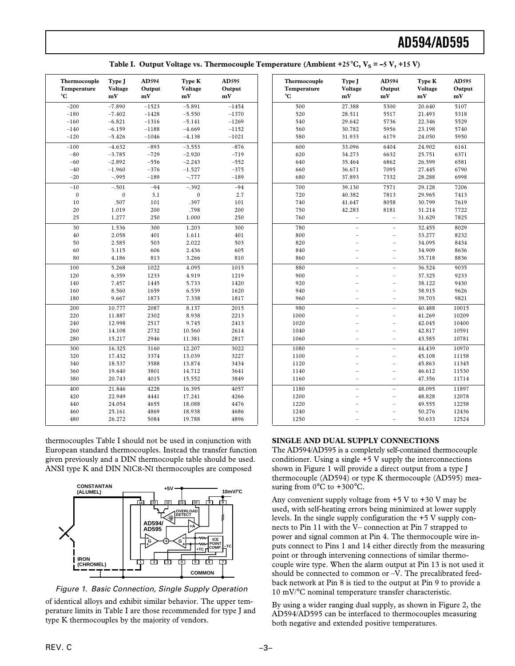| Thermocouple<br>Temperature<br>°C | Type J<br>Voltage<br>mV | AD594<br>Output<br>mV | Type K<br>Voltage<br>mV | AD595<br>Output<br>mV |
|-----------------------------------|-------------------------|-----------------------|-------------------------|-----------------------|
| $-200$                            | $-7.890$                | $-1523$               | $-5.891$                | $-1454$               |
| $-180$                            | $-7.402$                | $-1428$               | $-5.550$                | $-1370$               |
| $-160$                            | $-6.821$                | $-1316$               | $-5.141$                | $-1269$               |
| $-140$                            | $-6.159$                | $-1188$               | $-4.669$                | $-1152$               |
| $-120$                            | $-5.426$                | $-1046$               | $-4.138$                | $-1021$               |
| $-100$                            | $-4.632$                | $-893$                | $-3.553$                | $-876$                |
| $-80$                             | $-3.785$                | $-729$                | $-2.920$                | $-719$                |
| $-60$                             | $-2.892$                | $-556$                | $-2.243$                | $-552$                |
| $-40$                             | $-1.960$                | $-376$                | $-1.527$                | $-375$                |
| $-20$                             | $-.995$                 | $-189$                | $-.777$                 | $-189$                |
| $-10$                             | $-.501$                 | $-94$                 | $-.392$                 | $-94$                 |
| $\boldsymbol{0}$                  | $\mathbf{0}$            | 3.1                   | $\boldsymbol{0}$        | 2.7                   |
| 10                                | .507                    | 101                   | .397                    | 101                   |
| 20                                | 1.019                   | 200                   | .798                    | 200                   |
| 25                                | 1.277                   | 250                   | 1.000                   | 250                   |
| 30                                | 1.536                   | 300                   | 1.203                   | 300                   |
| 40                                | 2.058                   | 401                   | 1.611                   | 401                   |
| 50                                | 2.585                   | 503                   | 2.022                   | 503                   |
| 60                                | 3.115                   | 606                   | 2.436                   | 605                   |
| 80                                | 4.186                   | 813                   | 3.266                   | 810                   |
| 100                               | 5.268                   | 1022                  | 4.095                   | 1015                  |
| 120                               | 6.359                   | 1233                  | 4.919                   | 1219                  |
| 140                               | 7.457                   | 1445                  | 5.733                   | 1420                  |
| 160                               | 8.560                   | 1659                  | 6.539                   | 1620                  |
| 180                               | 9.667                   | 1873                  | 7.338                   | 1817                  |
| 200                               | 10.777                  | 2087                  | 8.137                   | 2015                  |
| 220                               | 11.887                  | 2302                  | 8.938                   | 2213                  |
| 240                               | 12.998                  | 2517                  | 9.745                   | 2413                  |
| 260                               | 14.108                  | 2732                  | 10.560                  | 2614                  |
| 280                               | 15.217                  | 2946                  | 11.381                  | 2817                  |
| 300                               | 16.325                  | 3160                  | 12.207                  | 3022                  |
| 320                               | 17.432                  | 3374                  | 13.039                  | 3227                  |
| 340                               | 18.537                  | 3588                  | 13.874                  | 3434                  |
| 360                               | 19.640                  | 3801                  | 14.712                  | 3641                  |
| 380                               | 20.743                  | 4015                  | 15.552                  | 3849                  |
| 400                               | 21.846                  | 4228                  | 16.395                  | 4057                  |
| 420                               | 22.949                  | 4441                  | 17.241                  | 4266                  |
| 440                               | 24.054                  | 4655                  | 18.088                  | 4476                  |
| 460                               | 25.161                  | 4869                  | 18.938                  | 4686                  |
| 480                               | 26.272                  | 5084                  | 19.788                  | 4896                  |

thermocouples Table I should not be used in conjunction with European standard thermocouples. Instead the transfer function given previously and a DIN thermocouple table should be used. ANSI type K and DIN NICR-NI thermocouples are composed



Figure 1. Basic Connection, Single Supply Operation

of identical alloys and exhibit similar behavior. The upper temperature limits in Table I are those recommended for type J and type K thermocouples by the majority of vendors.

| Thermocouple<br>Temperature<br>°C | Type J<br>Voltage<br>mV  | AD594<br>Output<br>mV    | Type K<br>Voltage<br>mV | AD595<br>Output<br>mV |
|-----------------------------------|--------------------------|--------------------------|-------------------------|-----------------------|
| 500                               | 27.388                   | 5300                     | 20.640                  | 5107                  |
| 520                               | 28.511                   | 5517                     | 21.493                  | 5318                  |
| 540                               | 29.642                   | 5736                     | 22.346                  | 5529                  |
| 560                               | 30.782                   | 5956                     | 23.198                  | 5740                  |
| 580                               | 31.933                   | 6179                     | 24.050                  | 5950                  |
| 600                               | 33.096                   | 6404                     | 24.902                  | 6161                  |
| 620                               | 34.273                   | 6632                     | 25.751                  | 6371                  |
| 640                               | 35.464                   | 6862                     | 26.599                  | 6581                  |
| 660                               | 36.671                   | 7095                     | 27.445                  | 6790                  |
| 680                               | 37.893                   | 7332                     | 28.288                  | 6998                  |
| 700                               | 39.130                   | 7571                     | 29.128                  | 7206                  |
| 720                               | 40.382                   | 7813                     | 29.965                  | 7413                  |
| 740                               | 41.647                   | 8058                     | 30.799                  | 7619                  |
| 750                               | 42.283                   | 8181                     | 31.214                  | 7722                  |
| 760                               |                          |                          | 31.629                  | 7825                  |
| 780                               |                          |                          | 32.455                  | 8029                  |
| 800                               |                          |                          | 33.277                  | 8232                  |
| 820                               |                          | $\overline{\phantom{0}}$ | 34.095                  | 8434                  |
| 840                               |                          | $\overline{a}$           | 34.909                  | 8636                  |
| 860                               |                          |                          | 35.718                  | 8836                  |
| 880                               | $\overline{\phantom{0}}$ | $\overline{\phantom{0}}$ | 36.524                  | 9035                  |
| 900                               |                          |                          | 37.325                  | 9233                  |
| 920                               |                          |                          | 38.122                  | 9430                  |
| 940                               |                          |                          | 38.915                  | 9626                  |
| 960                               |                          |                          | 39.703                  | 9821                  |
| 980                               | $\overline{\phantom{0}}$ | $\overline{\phantom{0}}$ | 40.488                  | 10015                 |
| 1000                              |                          | L,                       | 41.269                  | 10209                 |
| 1020                              |                          |                          | 42.045                  | 10400                 |
| 1040                              |                          |                          | 42.817                  | 10591                 |
| 1060                              | $\overline{\phantom{0}}$ | $\overline{\phantom{0}}$ | 43.585                  | 10781                 |
| 1080                              | $\overline{\phantom{0}}$ | $\overline{a}$           | 44.439                  | 10970                 |
| 1100                              |                          | $\overline{\phantom{0}}$ | 45.108                  | 11158                 |
| 1120                              |                          |                          | 45.863                  | 11345                 |
| 1140                              |                          |                          | 46.612                  | 11530                 |
| 1160                              | $\overline{\phantom{0}}$ | L,                       | 47.356                  | 11714                 |
| 1180                              |                          |                          | 48.095                  | 11897                 |
| 1200                              |                          |                          | 48.828                  | 12078                 |
| 1220                              |                          |                          | 49.555                  | 12258                 |
| 1240                              |                          |                          | 50.276                  | 12436                 |
| 1250                              |                          | $\overline{a}$           | 50.633                  | 12524                 |

# **SINGLE AND DUAL SUPPLY CONNECTIONS**

The AD594/AD595 is a completely self-contained thermocouple conditioner. Using a single +5 V supply the interconnections shown in Figure 1 will provide a direct output from a type J thermocouple (AD594) or type K thermocouple (AD595) measuring from  $0^{\circ}$ C to +300 $^{\circ}$ C.

Any convenient supply voltage from  $+5$  V to  $+30$  V may be used, with self-heating errors being minimized at lower supply levels. In the single supply configuration the +5 V supply connects to Pin 11 with the V– connection at Pin 7 strapped to power and signal common at Pin 4. The thermocouple wire inputs connect to Pins 1 and 14 either directly from the measuring point or through intervening connections of similar thermocouple wire type. When the alarm output at Pin 13 is not used it should be connected to common or –V. The precalibrated feedback network at Pin 8 is tied to the output at Pin 9 to provide a 10 mV/°C nominal temperature transfer characteristic.

By using a wider ranging dual supply, as shown in Figure 2, the AD594/AD595 can be interfaced to thermocouples measuring both negative and extended positive temperatures.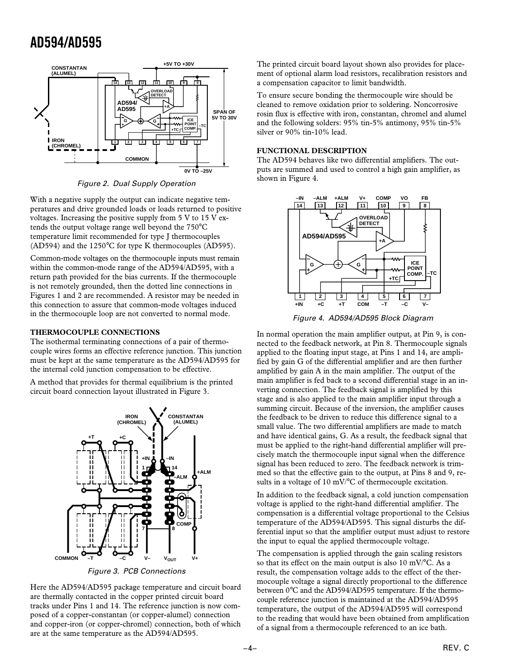

Figure 2. Dual Supply Operation

With a negative supply the output can indicate negative temperatures and drive grounded loads or loads returned to positive voltages. Increasing the positive supply from  $5 \text{ V}$  to  $15 \text{ V}$  extends the output voltage range well beyond the 750°C temperature limit recommended for type J thermocouples (AD594) and the 1250°C for type K thermocouples (AD595).

Common-mode voltages on the thermocouple inputs must remain within the common-mode range of the AD594/AD595, with a return path provided for the bias currents. If the thermocouple is not remotely grounded, then the dotted line connections in Figures 1 and 2 are recommended. A resistor may be needed in this connection to assure that common-mode voltages induced in the thermocouple loop are not converted to normal mode.

# **THERMOCOUPLE CONNECTIONS**

The isothermal terminating connections of a pair of thermocouple wires forms an effective reference junction. This junction must be kept at the same temperature as the AD594/AD595 for the internal cold junction compensation to be effective.

A method that provides for thermal equilibrium is the printed circuit board connection layout illustrated in Figure 3.



Figure 3. PCB Connections

Here the AD594/AD595 package temperature and circuit board are thermally contacted in the copper printed circuit board tracks under Pins 1 and 14. The reference junction is now composed of a copper-constantan (or copper-alumel) connection and copper-iron (or copper-chromel) connection, both of which are at the same temperature as the AD594/AD595.

The printed circuit board layout shown also provides for placement of optional alarm load resistors, recalibration resistors and a compensation capacitor to limit bandwidth.

To ensure secure bonding the thermocouple wire should be cleaned to remove oxidation prior to soldering. Noncorrosive rosin flux is effective with iron, constantan, chromel and alumel and the following solders: 95% tin-5% antimony, 95% tin-5% silver or 90% tin-10% lead.

# **FUNCTIONAL DESCRIPTION**

The AD594 behaves like two differential amplifiers. The outputs are summed and used to control a high gain amplifier, as shown in Figure 4.



Figure 4. AD594/AD595 Block Diagram

In normal operation the main amplifier output, at Pin 9, is connected to the feedback network, at Pin 8. Thermocouple signals applied to the floating input stage, at Pins 1 and 14, are amplified by gain G of the differential amplifier and are then further amplified by gain A in the main amplifier. The output of the main amplifier is fed back to a second differential stage in an inverting connection. The feedback signal is amplified by this stage and is also applied to the main amplifier input through a summing circuit. Because of the inversion, the amplifier causes the feedback to be driven to reduce this difference signal to a small value. The two differential amplifiers are made to match and have identical gains, G. As a result, the feedback signal that must be applied to the right-hand differential amplifier will precisely match the thermocouple input signal when the difference signal has been reduced to zero. The feedback network is trimmed so that the effective gain to the output, at Pins 8 and 9, results in a voltage of 10 mV/°C of thermocouple excitation.

In addition to the feedback signal, a cold junction compensation voltage is applied to the right-hand differential amplifier. The compensation is a differential voltage proportional to the Celsius temperature of the AD594/AD595. This signal disturbs the differential input so that the amplifier output must adjust to restore the input to equal the applied thermocouple voltage.

The compensation is applied through the gain scaling resistors so that its effect on the main output is also 10 mV/°C. As a result, the compensation voltage adds to the effect of the thermocouple voltage a signal directly proportional to the difference between 0°C and the AD594/AD595 temperature. If the thermocouple reference junction is maintained at the AD594/AD595 temperature, the output of the AD594/AD595 will correspond to the reading that would have been obtained from amplification of a signal from a thermocouple referenced to an ice bath.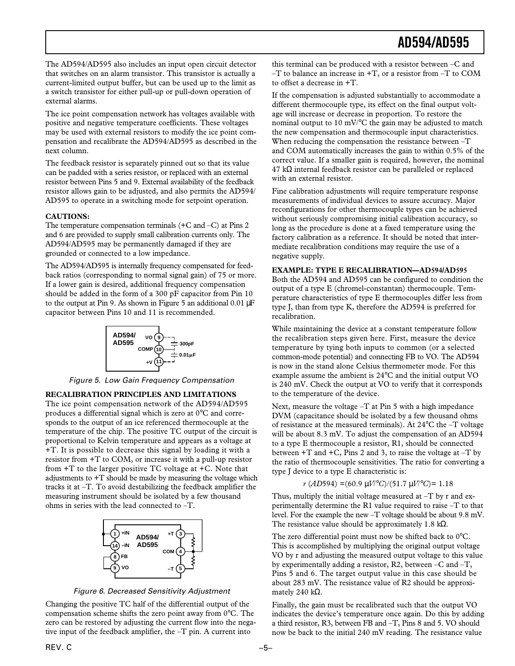The AD594/AD595 also includes an input open circuit detector that switches on an alarm transistor. This transistor is actually a current-limited output buffer, but can be used up to the limit as a switch transistor for either pull-up or pull-down operation of external alarms.

The ice point compensation network has voltages available with positive and negative temperature coefficients. These voltages may be used with external resistors to modify the ice point compensation and recalibrate the AD594/AD595 as described in the next column.

The feedback resistor is separately pinned out so that its value can be padded with a series resistor, or replaced with an external resistor between Pins 5 and 9. External availability of the feedback resistor allows gain to be adjusted, and also permits the AD594/ AD595 to operate in a switching mode for setpoint operation.

# **CAUTIONS:**

The temperature compensation terminals (+C and –C) at Pins 2 and 6 are provided to supply small calibration currents only. The AD594/AD595 may be permanently damaged if they are grounded or connected to a low impedance.

The AD594/AD595 is internally frequency compensated for feedback ratios (corresponding to normal signal gain) of 75 or more. If a lower gain is desired, additional frequency compensation should be added in the form of a 300 pF capacitor from Pin 10 to the output at Pin 9. As shown in Figure 5 an additional  $0.01 \mu$ F capacitor between Pins 10 and 11 is recommended.



Figure 5. Low Gain Frequency Compensation

#### **RECALIBRATION PRINCIPLES AND LIMITATIONS**

The ice point compensation network of the AD594/AD595 produces a differential signal which is zero at 0°C and corresponds to the output of an ice referenced thermocouple at the temperature of the chip. The positive TC output of the circuit is proportional to Kelvin temperature and appears as a voltage at +T. It is possible to decrease this signal by loading it with a resistor from +T to COM, or increase it with a pull-up resistor from  $+T$  to the larger positive TC voltage at  $+C$ . Note that adjustments to +T should be made by measuring the voltage which tracks it at –T. To avoid destabilizing the feedback amplifier the measuring instrument should be isolated by a few thousand ohms in series with the lead connected to –T.



Figure 6. Decreased Sensitivity Adjustment

Changing the positive TC half of the differential output of the compensation scheme shifts the zero point away from 0°C. The zero can be restored by adjusting the current flow into the negative input of the feedback amplifier, the –T pin. A current into

this terminal can be produced with a resistor between –C and  $-T$  to balance an increase in  $+T$ , or a resistor from  $-T$  to COM to offset a decrease in +T.

If the compensation is adjusted substantially to accommodate a different thermocouple type, its effect on the final output voltage will increase or decrease in proportion. To restore the nominal output to 10 mV/°C the gain may be adjusted to match the new compensation and thermocouple input characteristics. When reducing the compensation the resistance between  $-T$ and COM automatically increases the gain to within 0.5% of the correct value. If a smaller gain is required, however, the nominal 47 kΩ internal feedback resistor can be paralleled or replaced with an external resistor.

Fine calibration adjustments will require temperature response measurements of individual devices to assure accuracy. Major reconfigurations for other thermocouple types can be achieved without seriously compromising initial calibration accuracy, so long as the procedure is done at a fixed temperature using the factory calibration as a reference. It should be noted that intermediate recalibration conditions may require the use of a negative supply.

# **EXAMPLE: TYPE E RECALIBRATION—AD594/AD595**

Both the AD594 and AD595 can be configured to condition the output of a type E (chromel-constantan) thermocouple. Temperature characteristics of type E thermocouples differ less from type J, than from type K, therefore the AD594 is preferred for recalibration.

While maintaining the device at a constant temperature follow the recalibration steps given here. First, measure the device temperature by tying both inputs to common (or a selected common-mode potential) and connecting FB to VO. The AD594 is now in the stand alone Celsius thermometer mode. For this example assume the ambient is 24°C and the initial output VO is 240 mV. Check the output at VO to verify that it corresponds to the temperature of the device.

Next, measure the voltage –T at Pin 5 with a high impedance DVM (capacitance should be isolated by a few thousand ohms of resistance at the measured terminals). At 24°C the –T voltage will be about 8.3 mV. To adjust the compensation of an AD594 to a type E thermocouple a resistor, R1, should be connected between  $+T$  and  $+C$ , Pins 2 and 3, to raise the voltage at  $-T$  by the ratio of thermocouple sensitivities. The ratio for converting a type J device to a type E characteristic is:

#### *r* (*AD*594) =(60.9 µ*V*/°*C*)/(51.7 µ*V*/°*C*)= 1.18

Thus, multiply the initial voltage measured at –T by r and experimentally determine the R1 value required to raise –T to that level. For the example the new –T voltage should be about 9.8 mV. The resistance value should be approximately 1.8 k $\Omega$ .

The zero differential point must now be shifted back to 0°C. This is accomplished by multiplying the original output voltage VO by r and adjusting the measured output voltage to this value by experimentally adding a resistor, R2, between –C and –T, Pins 5 and 6. The target output value in this case should be about 283 mV. The resistance value of R2 should be approximately 240 kΩ.

Finally, the gain must be recalibrated such that the output VO indicates the device's temperature once again. Do this by adding a third resistor, R3, between FB and –T, Pins 8 and 5. VO should now be back to the initial 240 mV reading. The resistance value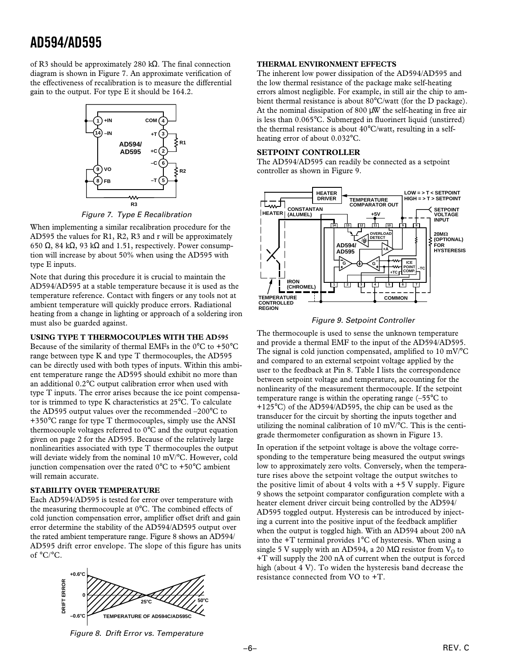of R3 should be approximately 280 kΩ. The final connection diagram is shown in Figure 7. An approximate verification of the effectiveness of recalibration is to measure the differential gain to the output. For type E it should be 164.2.



Figure 7. Type E Recalibration

When implementing a similar recalibration procedure for the AD595 the values for R1, R2, R3 and r will be approximately 650 Ω, 84 kΩ, 93 kΩ and 1.51, respectively. Power consumption will increase by about 50% when using the AD595 with type E inputs.

Note that during this procedure it is crucial to maintain the AD594/AD595 at a stable temperature because it is used as the temperature reference. Contact with fingers or any tools not at ambient temperature will quickly produce errors. Radiational heating from a change in lighting or approach of a soldering iron must also be guarded against.

# **USING TYPE T THERMOCOUPLES WITH THE AD595**

Because of the similarity of thermal EMFs in the  $0^{\circ}$ C to +50 $^{\circ}$ C range between type K and type T thermocouples, the AD595 can be directly used with both types of inputs. Within this ambient temperature range the AD595 should exhibit no more than an additional 0.2°C output calibration error when used with type T inputs. The error arises because the ice point compensator is trimmed to type K characteristics at 25°C. To calculate the AD595 output values over the recommended –200°C to +350°C range for type T thermocouples, simply use the ANSI thermocouple voltages referred to 0°C and the output equation given on page 2 for the AD595. Because of the relatively large nonlinearities associated with type T thermocouples the output will deviate widely from the nominal 10 mV/°C. However, cold junction compensation over the rated  $0^{\circ}$ C to +50°C ambient will remain accurate.

# **STABILITY OVER TEMPERATURE**

Each AD594/AD595 is tested for error over temperature with the measuring thermocouple at 0°C. The combined effects of cold junction compensation error, amplifier offset drift and gain error determine the stability of the AD594/AD595 output over the rated ambient temperature range. Figure 8 shows an AD594/ AD595 drift error envelope. The slope of this figure has units of °C/°C.



# **THERMAL ENVIRONMENT EFFECTS**

The inherent low power dissipation of the AD594/AD595 and the low thermal resistance of the package make self-heating errors almost negligible. For example, in still air the chip to ambient thermal resistance is about 80°C/watt (for the D package). At the nominal dissipation of 800 µW the self-heating in free air is less than 0.065°C. Submerged in fluorinert liquid (unstirred) the thermal resistance is about 40°C/watt, resulting in a selfheating error of about 0.032°C.

# **SETPOINT CONTROLLER**

The AD594/AD595 can readily be connected as a setpoint controller as shown in Figure 9.



# Figure 9. Setpoint Controller

The thermocouple is used to sense the unknown temperature and provide a thermal EMF to the input of the AD594/AD595. The signal is cold junction compensated, amplified to 10 mV/°C and compared to an external setpoint voltage applied by the user to the feedback at Pin 8. Table I lists the correspondence between setpoint voltage and temperature, accounting for the nonlinearity of the measurement thermocouple. If the setpoint temperature range is within the operating range  $(-55^{\circ}C)$  to +125°C) of the AD594/AD595, the chip can be used as the transducer for the circuit by shorting the inputs together and utilizing the nominal calibration of 10 mV/°C. This is the centigrade thermometer configuration as shown in Figure 13.

In operation if the setpoint voltage is above the voltage corresponding to the temperature being measured the output swings low to approximately zero volts. Conversely, when the temperature rises above the setpoint voltage the output switches to the positive limit of about 4 volts with a  $+5$  V supply. Figure 9 shows the setpoint comparator configuration complete with a heater element driver circuit being controlled by the AD594/ AD595 toggled output. Hysteresis can be introduced by injecting a current into the positive input of the feedback amplifier when the output is toggled high. With an AD594 about 200 nA into the +T terminal provides 1°C of hysteresis. When using a single 5 V supply with an AD594, a 20 MΩ resistor from  $V<sub>O</sub>$  to +T will supply the 200 nA of current when the output is forced high (about 4 V). To widen the hysteresis band decrease the resistance connected from VO to +T.

Figure 8. Drift Error vs. Temperature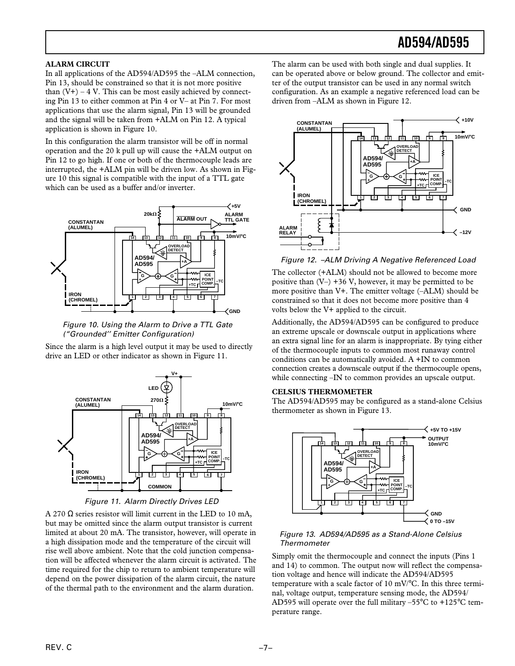# **ALARM CIRCUIT**

In all applications of the AD594/AD595 the –ALM connection, Pin 13, should be constrained so that it is not more positive than  $(V+)$  – 4 V. This can be most easily achieved by connecting Pin 13 to either common at Pin 4 or V– at Pin 7. For most applications that use the alarm signal, Pin 13 will be grounded and the signal will be taken from +ALM on Pin 12. A typical application is shown in Figure 10.

In this configuration the alarm transistor will be off in normal operation and the 20 k pull up will cause the +ALM output on Pin 12 to go high. If one or both of the thermocouple leads are interrupted, the +ALM pin will be driven low. As shown in Figure 10 this signal is compatible with the input of a TTL gate which can be used as a buffer and/or inverter.



 Figure 10. Using the Alarm to Drive a TTL Gate ("Grounded'' Emitter Configuration)

Since the alarm is a high level output it may be used to directly drive an LED or other indicator as shown in Figure 11.



Figure 11. Alarm Directly Drives LED

A 270 Ω series resistor will limit current in the LED to 10 mA, but may be omitted since the alarm output transistor is current limited at about 20 mA. The transistor, however, will operate in a high dissipation mode and the temperature of the circuit will rise well above ambient. Note that the cold junction compensation will be affected whenever the alarm circuit is activated. The time required for the chip to return to ambient temperature will depend on the power dissipation of the alarm circuit, the nature of the thermal path to the environment and the alarm duration.

The alarm can be used with both single and dual supplies. It can be operated above or below ground. The collector and emitter of the output transistor can be used in any normal switch configuration. As an example a negative referenced load can be driven from –ALM as shown in Figure 12.



Figure 12. –ALM Driving A Negative Referenced Load

The collector (+ALM) should not be allowed to become more positive than  $(V-) +36 V$ , however, it may be permitted to be more positive than V+. The emitter voltage (–ALM) should be constrained so that it does not become more positive than 4 volts below the V+ applied to the circuit.

Additionally, the AD594/AD595 can be configured to produce an extreme upscale or downscale output in applications where an extra signal line for an alarm is inappropriate. By tying either of the thermocouple inputs to common most runaway control conditions can be automatically avoided. A +IN to common connection creates a downscale output if the thermocouple opens, while connecting –IN to common provides an upscale output.

# **CELSIUS THERMOMETER**

The AD594/AD595 may be configured as a stand-alone Celsius thermometer as shown in Figure 13.



# Figure 13. AD594/AD595 as a Stand-Alone Celsius Thermometer

Simply omit the thermocouple and connect the inputs (Pins 1 and 14) to common. The output now will reflect the compensation voltage and hence will indicate the AD594/AD595 temperature with a scale factor of 10 mV/°C. In this three terminal, voltage output, temperature sensing mode, the AD594/ AD595 will operate over the full military –55°C to +125°C temperature range.